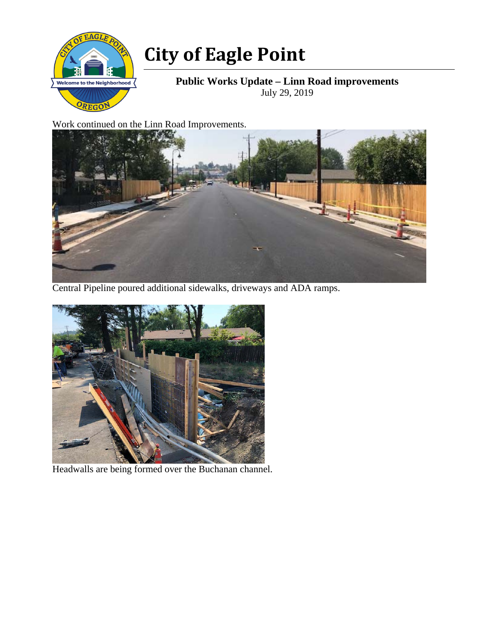

## **City of Eagle Point**

**Public Works Update – Linn Road improvements**  July 29, 2019

Work continued on the Linn Road Improvements.



Central Pipeline poured additional sidewalks, driveways and ADA ramps.



Headwalls are being formed over the Buchanan channel.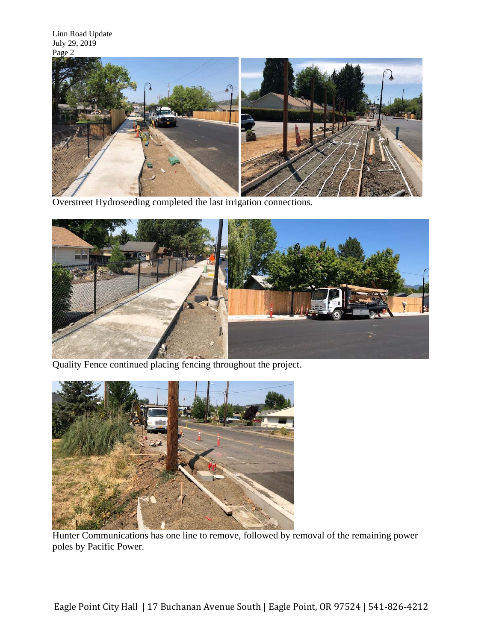

Overstreet Hydroseeding completed the last irrigation connections.



Quality Fence continued placing fencing throughout the project.



Hunter Communications has one line to remove, followed by removal of the remaining power poles by Pacific Power.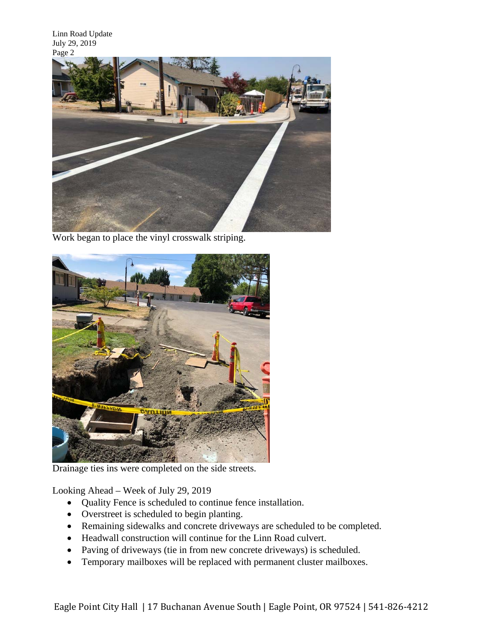Linn Road Update July 29, 2019 Page 2



Work began to place the vinyl crosswalk striping.



Drainage ties ins were completed on the side streets.

Looking Ahead – Week of July 29, 2019

- Quality Fence is scheduled to continue fence installation.
- Overstreet is scheduled to begin planting.
- Remaining sidewalks and concrete driveways are scheduled to be completed.
- Headwall construction will continue for the Linn Road culvert.
- Paving of driveways (tie in from new concrete driveways) is scheduled.
- Temporary mailboxes will be replaced with permanent cluster mailboxes.